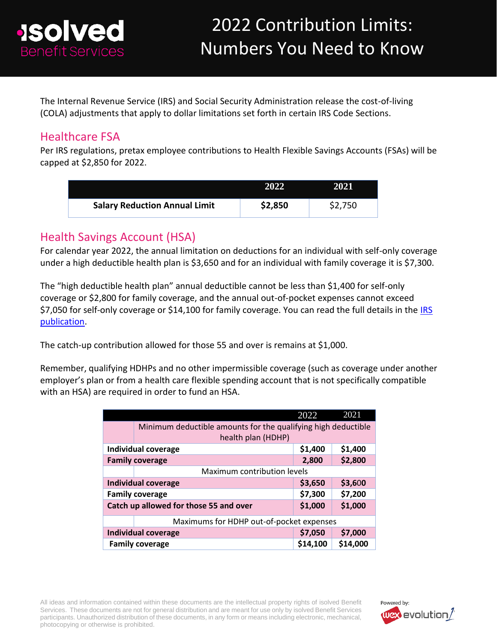

The Internal Revenue Service (IRS) and Social Security Administration release the cost-of-living (COLA) adjustments that apply to dollar limitations set forth in certain IRS Code Sections.

### Healthcare FSA

Per IRS regulations, pretax employee contributions to Health Flexible Savings Accounts (FSAs) will be capped at \$2,850 for 2022.

|                                      | 2022    | 2021    |
|--------------------------------------|---------|---------|
| <b>Salary Reduction Annual Limit</b> | \$2,850 | \$2,750 |

### Health Savings Account (HSA)

For calendar year 2022, the annual limitation on deductions for an individual with self-only coverage under a high deductible health plan is \$3,650 and for an individual with family coverage it is \$7,300.

The "high deductible health plan" annual deductible cannot be less than \$1,400 for self-only coverage or \$2,800 for family coverage, and the annual out-of-pocket expenses cannot exceed \$7,050 for self-only coverage or \$14,100 for family coverage. You can read the full details in the IRS [publication.](https://www.irs.gov/pub/irs-drop/rp-21-25.pdf)

The catch-up contribution allowed for those 55 and over is remains at \$1,000.

Remember, qualifying HDHPs and no other impermissible coverage (such as coverage under another employer's plan or from a health care flexible spending account that is not specifically compatible with an HSA) are required in order to fund an HSA.

|                                          |                                                               | 2022     | 2021     |  |  |
|------------------------------------------|---------------------------------------------------------------|----------|----------|--|--|
|                                          | Minimum deductible amounts for the qualifying high deductible |          |          |  |  |
|                                          | health plan (HDHP)                                            |          |          |  |  |
|                                          | <b>Individual coverage</b>                                    | \$1,400  | \$1,400  |  |  |
|                                          | <b>Family coverage</b>                                        | 2,800    | \$2,800  |  |  |
| Maximum contribution levels              |                                                               |          |          |  |  |
|                                          | Individual coverage                                           | \$3,650  | \$3,600  |  |  |
|                                          | <b>Family coverage</b>                                        | \$7,300  | \$7,200  |  |  |
|                                          | Catch up allowed for those 55 and over                        | \$1,000  | \$1,000  |  |  |
| Maximums for HDHP out-of-pocket expenses |                                                               |          |          |  |  |
|                                          | <b>Individual coverage</b>                                    | \$7,050  | \$7,000  |  |  |
|                                          | <b>Family coverage</b>                                        | \$14,100 | \$14,000 |  |  |

All ideas and information contained within these documents are the intellectual property rights of isolved Benefit Services. These documents are not for general distribution and are meant for use only by isolved Benefit Services participants. Unauthorized distribution of these documents, in any form or means including electronic, mechanical, photocopying or otherwise is prohibited.